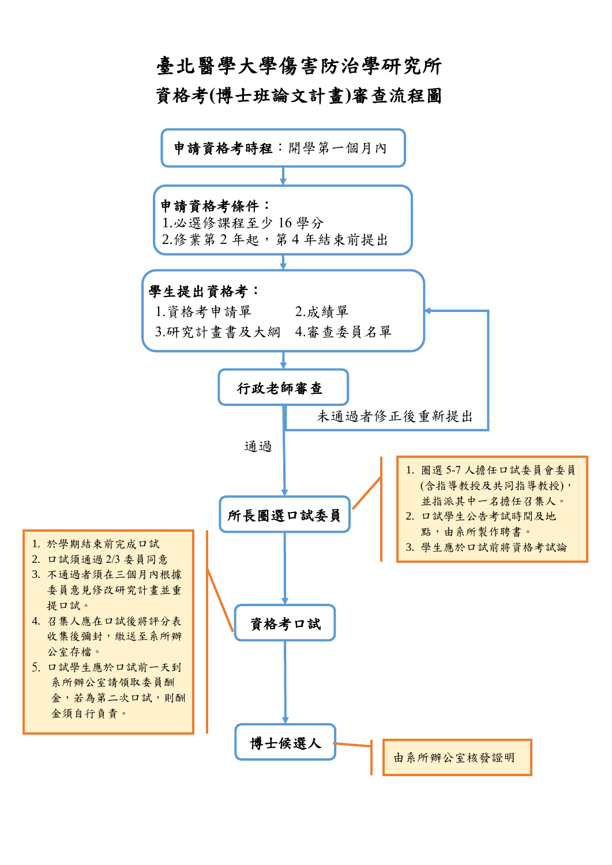## 臺北醫學大學傷害防治學研究所 資格考**(**博士班論文計畫**)**審查流程圖